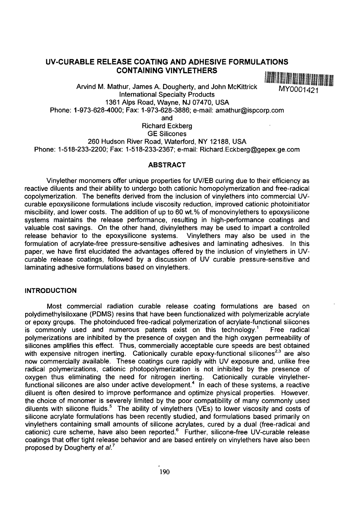# **UV-CURABLE RELEASE COATING AND ADHESIVE FORMULATIONS CONTAINING VINYLETHERS**

Arvind M. Mathur, James A. Dougherty, and John McKittrick MY0001421 International Specialty Products 1361 Alps Road, Wayne, NJ 07470, USA Phone: 1-973-628-4000; Fax: 1-973-628-3886; e-mail: amathur@ispcorp.com and

Richard Eckberg GE Silicones 260 Hudson River Road, Waterford, NY 12188, USA Phone: 1-518-233-2200; Fax: 1-518-233-2367; e-mail: Richard.Eckberg@gepex.ge.com

#### **ABSTRACT**

Vinylether monomers offer unique properties for UV/EB curing due to their efficiency as reactive diluents and their ability to undergo both cationic homopolymerization and free-radical copolymerization. The benefits derived from the inclusion of vinylethers into commercial UVcurable epoxysilicone formulations include viscosity reduction, improved cationic photoinitiator miscibility, and lower costs. The addition of up to 60 wt.% of monovinylethers to epoxysilicone systems maintains the release performance, resulting in high-performance coatings and valuable cost savings. On the other hand, divinylethers may be used to impart a controlled release behavior to the epoxysilicone systems. Vinylethers may also be used in the formulation of acrylate-free pressure-sensitive adhesives and laminating adhesives. In this paper, we have first elucidated the advantages offered by the inclusion of vinylethers in UVcurable release coatings, followed by a discussion of UV curable pressure-sensitive and laminating adhesive formulations based on vinylethers.

# **INTRODUCTION**

Most commercial radiation curable release coating formulations are based on polydimethylsiloxane (PDMS) resins that have been functionalized with polymerizable acrylate or epoxy groups. The photoinduced free-radical polymerization of acrylate-functional silicones is commonly used and numerous patents exist on this technology.<sup>1</sup> Free radical polymerizations are inhibited by the presence of oxygen and the high oxygen permeability of silicones amplifies this effect. Thus, commercially acceptable cure speeds are best obtained with expensive nitrogen inerting. Cationically curable epoxy-functional silicones<sup>2,3</sup> are also now commercially available. These coatings cure rapidly with UV exposure and, unlike free radical polymerizations, cationic photopolymerization is not inhibited by the presence of oxygen thus eliminating the need for nitrogen inerting. Cationically curable vinyletherfunctional silicones are also under active development.<sup>4</sup> In each of these systems, a reactive diluent is often desired to improve performance and optimize physical properties. However, the choice of monomer is severely limited by the poor compatibility of many commonly used diluents with silicone fluids.<sup>5</sup> The ability of vinylethers (VFs) to lower viscosity and costs of silicone acrylate formulations has been recently studied, and formulations based primarily on vinylethers containing small amounts of silicone acrylates, cured by a dual (free-radical and entification containing official amounts of siliconic dor flates, cared by a dual (free radical drid<br>cationic) cure scheme, have also been reported.<sup>6</sup> Further, silicone-free UV-curable release coatings that offer tight release behavior and are based entirely on vinylethers have also been proposed by Dougherty et al.<sup>7</sup>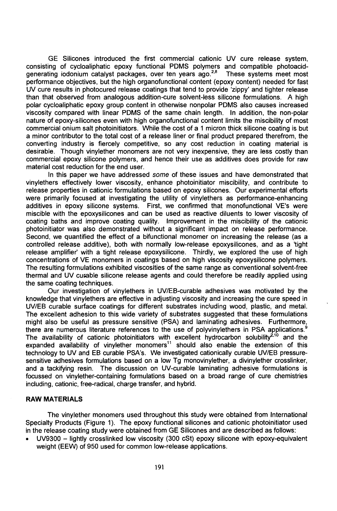GE Silicones introduced the first commercial cationic UV cure release system, consisting of cycloaliphatic epoxy functional PDMS polymers and compatible photoacidgenerating iodonium catalyst packages, over ten vears ago.<sup>2,8</sup> These systems meet most performance objectives, but the high organofunctionai content (epoxy content) needed for fast UV cure results in photocured release coatings that tend to provide 'zippy' and tighter release than that observed from analogous addition-cure solvent-less silicone formulations. A high polar cycloaliphatic epoxy group content in otherwise nonpolar PDMS also causes increased viscosity compared with linear PDMS of the same chain length. In addition, the non-polar nature of epoxy-silicones even with high organofunctionai content limits the miscibiiity of most commercial onium salt photoinitiators. While the cost of a 1 micron thick silicone coating is but a minor contributor to the total cost of a release liner or final product prepared therefrom, the converting industry is fiercely competitive, so any cost reduction in coating material is desirable. Though vinylether monomers are not very inexpensive, they are less costly than commercial epoxy silicone polymers, and hence their use as additives does provide for raw material cost reduction for the end user.

In this paper we have addressed some of these issues and have demonstrated that vinylethers effectively lower viscosity, enhance photoinitiator miscibiiity, and contribute to release properties in cationic formulations based on epoxy silicones. Our experimental efforts were primarily focused at investigating the utility of vinylethers as performance-enhancing additives in epoxy silicone systems. First, we confirmed that monofunctional VE's were miscible with the epoxysilicones and can be used as reactive diluents to lower viscosity of coating baths and improve coating quality. Improvement in the miscibiiity of the cationic photoinitiator was also demonstrated without a significant impact on release performance. Second, we quantified the effect of a bifunctional monomer on increasing the release (as a controlled release additive), both with normally low-release epoxysilicones, and as a 'tight release amplifier' with a tight release epoxysilicone. Thirdly, we explored the use of high concentrations of VE monomers in coatings based on high viscosity epoxysilicone polymers. The resulting formulations exhibited viscosities of the same range as conventional solvent-free thermal and UV cutable silicone release agents and could therefore be readily applied using the same coating techniques.

Our investigation of vinylethers in UV/EB-curable adhesives was motivated by the knowledge that vinylethers are effective in adjusting viscosity and increasing the cure speed in UV/EB curable surface coatings for different substrates including wood, plastic, and metal. The excellent adhesion to this wide variety of substrates suggested that these formulations might also be useful as pressure sensitive (PSA) and laminating adhesives. Furthermore, there are numerous literature references to the use of polyvinylethers in PSA applications.<sup>9</sup> The availability of cationic photoinitiators with excellent hydrocarbon solubility<sup>2,10</sup> and the  $e$ xpanded availability of vinylether monomers<sup>11</sup> should also enable the extension of this technology to UV and EB curable PSA's. We investigated cationically curable UV/EB pressuresensitive adhesives formulations based on a low Tg monovinylether, a divinylether crosslinker, and a tackifying resin. The discussion on UV-curable laminating adhesive formulations is focussed on vinylether-containing formulations based on a broad range of cure chemistries including, cationic, free-radical, charge transfer, and hybrid.

### **RAW MATERIALS**

The vinylether monomers used throughout this study were obtained from International Specialty Products (Figure 1). The epoxy functional silicones and cationic photoinitiator used in the release coating study were obtained from GE Silicones and are described as follows:

• UV9300 - lightly crosslinked low viscosity (300 cSt) epoxy silicone with epoxy-equivalent weight (EEW) of 950 used for common low-release applications.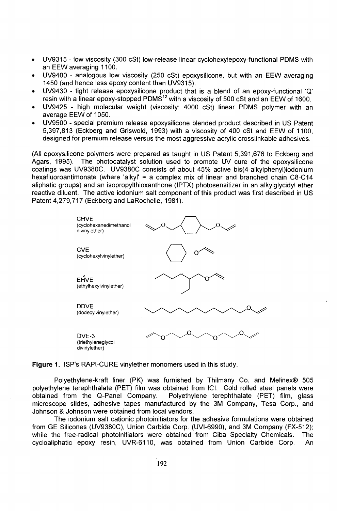- UV9315 low viscosity (300 cSt) low-release linear cyclohexylepoxy-functional PDMS with an EEW averaging 1100.
- UV9400 analogous low viscosity (250 cSt) epoxysilicone, but with an EEW averaging 1450 (and hence less epoxy content than UV9315).
- UV9430 tight release epoxysilicone product that is a blend of an epoxy-functional 'Q' resin with a linear epoxy-stopped PDMS $^\mathsf{12}$  with a viscosity of 500 cSt and an EEW of 1600.
- UV9425 high molecular weight (viscosity: 4000 cSt) linear PDMS polymer with an average EEW of 1050.
- UV9500 special premium release epoxysilicone blended product described in US Patent 5,397,813 (Eckberg and Griswold, 1993) with a viscosity of 400 cSt and EEW of 1100, designed for premium release versus the most aggressive acrylic crosslinkable adhesives.

(All epoxysilicone polymers were prepared as taught in US Patent 5,391,676 to Eckberg and Agars, 1995). The photocatalyst solution used to promote UV cure of the epoxysilicone coatings was UV9380C. UV9380C consists of about 45% active bis(4-alkylphenyl)iodonium hexafluoroantimonate (where 'alkyl' = a complex mix of linear and branched chain  $C8-C14$ aliphatic groups) and an isopropylthioxanthone (IPTX) photosensitizer in an alkylglycidyl ether reactive diluent. The active iodonium salt component of this product was first described in US Patent 4,279,717 (Eckberg and LaRochelle, 1981).



**Figure 1.** ISP's RAPI-CURE vinylether monomers used in this study.

Polyethylene-kraft liner (PK) was furnished by Thilmany Co. and Melinex® 505 polyethylene terephthalate (PET) film was obtained from ICI. Cold rolled steel panels were obtained from the Q-Panel Company. Polyethylene terephthalate (PET) film, glass microscope slides, adhesive tapes manufactured by the 3M Company, Tesa Corp., and Johnson & Johnson were obtained from local vendors.

The iodonium salt cationic photoinitiators for the adhesive formulations were obtained from GE Silicones (UV9380C), Union Carbide Corp. (UVI-6990), and 3M Company (FX-512); while the free-radical photoinitiators were obtained from Ciba Specialty Chemicals. The cycloaliphatic epoxy resin, UVR-6110, was obtained from Union Carbide Corp. An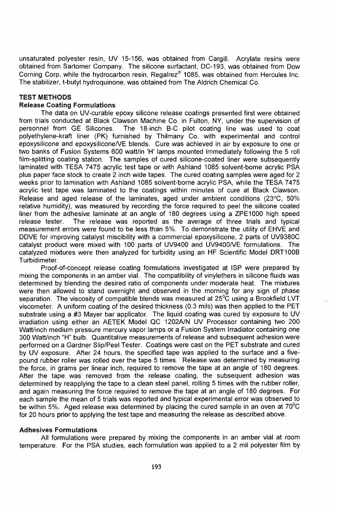unsaturated polyester resin, UV 15-156, was obtained from Cargill. Acrylate resins were obtained from Sartomer Company. The silicone surfactant, DC-193, was obtained from Dow Corning Corp. while the hydrocarbon resin, Regalrez® 1085, was obtained from Hercules Inc. The stabilizer, t-butyl hydroquinone, was obtained from The Aldrich Chemical Co.

# **TEST METHODS**

# **Release Coating Formulations**

The data on UV-curable epoxy silicone release coatings presented first were obtained from trials conducted at Black Clawson Machine Co. in Fulton, NY, under the supervision of personnel from GE Silicones. The 18-inch B-C pilot coating line was used to coat polyethylene-kraft liner (PK) furnished by Thilmany Co. with experimental and control epoxysilicone and epoxysilicone/VE blends. Cure was achieved in air by exposure to one or two banks of Fusion Systems 600 watt/in 'H' lamps mounted immediately following the 5 roll film-splitting coating station. The samples of cured silicone-coated liner were subsequently laminated with TESA 7475 acrylic test tape or with Ashland 1085 solvent-borne acrylic PSA plus paper face stock to create 2 inch wide tapes. The cured coating samples were aged for 2 weeks prior to lamination with Ashland 1085 solvent-borne acrylic PSA, while the TESA 7475 acrylic test tape was laminated to the coatings within minutes of cure at Black Clawson. Release and aged release of the laminates, aged under ambient conditions (23°C, 50% relative humidity), was measured by recording the force required to peel the silicone coated liner from the adhesive laminate at an angle of 180 degrees using a ZPE1000 high speed release tester. The release was reported as the average of three trials and typical measurement errors were found to be less than 5%. To demonstrate the utility of EHVE and DDVE for improving catalyst miscibility with a commercial epoxysilicone, 2 parts of UV9380C catalyst product were mixed with 100 parts of UV9400 and UV9400/VE formulations. The catalyzed mixtures were then analyzed for turbidity using an HF Scientific Model DRT100B Turbidimeter.

Proof-of-concept release coating formulations investigated at ISP were prepared by mixing the components in an amber vial. The compatibility of vinylethers in silicone fluids was determined by blending the desired ratio of components under moderate heat. The mixtures were then allowed to stand overnight and observed in the morning for any sign of phase separation. The viscosity of compatible blends was measured at  $25^{\circ}$ C using a Brookfield LVT viscometer. A uniform coating of the desired thickness (0.3 mils) was then applied to the PET substrate using a #3 Mayer bar applicator. The liquid coating was cured by exposure to UV irradiation using either an AETEK Model QC 1202A/N UV Processor containing two 200 Watt/inch medium pressure mercury vapor lamps or a Fusion System Irradiator containing one 300 Watt/inch "H" bulb. Quantitative measurements of release and subsequent adhesion were performed on **a** Gardner Slip/Peel Tester. Coatings were cast on the PET substrate and cured by UV exposure. After 24 hours, the specified tape was applied to the surface and a fivepound rubber roller was rolled over the tape 5 times. Release was determined by measuring the force, in grams per linear inch, required to remove the tape at an angle of 180 degrees. After the tape was removed from the release coating, the subsequent adhesion was determined by reapplying the tape to a clean steel panel, rolling 5 times with the rubber roller, and again measuring the force required to remove the tape at an angle of 180 degrees. For each sample the mean of 5 trials was reported and typical experimental error was observed to be within 5%. Aged release was determined by placing the cured sample in an oven at  $70^{\circ}$ C for 20 hours prior to applying the test tape and measuring the release as described above.

# **Adhesives Formulations**

All formulations were prepared by mixing the components in an amber vial at room temperature. For the PSA studies, each formulation was applied to a 2 mil polyester film by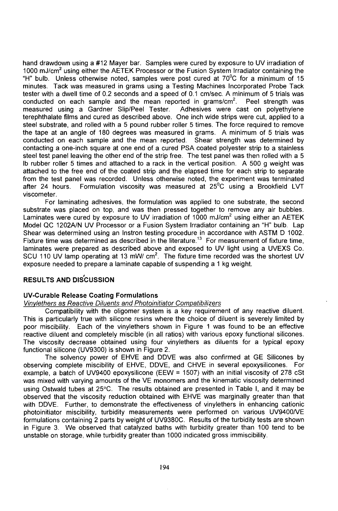hand drawdown using a #12 Mayer bar. Samples were cured by exposure to UV irradiation of 1000 mJ/cm<sup>2</sup> using either the AETEK Processor or the Fusion System Irradiator containing the "H" bulb. Unless otherwise noted, samples were post cured at  $70^{\circ}$ C for a minimum of 15 minutes. Tack was measured in grams using a Testing Machines Incorporated Probe Tack tester with a dwell time of 0.2 seconds and a speed of 0.1 cm/sec. A minimum of 5 trials was conducted on each sample and the mean reported in grams/ $\text{cm}^2$ . . Peel strength was measured using a Gardner Slip/Peel Tester. Adhesives were cast on polyethylene terephthalate films and cured as described above. One inch wide strips were cut, applied to a steel substrate, and rolled with a 5 pound rubber roller 5 times. The force required to remove the tape at an angle of 180 degrees was measured in grams. A minimum of 5 trials was conducted on each sample and the mean reported. Shear strength was determined by contacting a one-inch square at one end of a cured PSA coated polyester strip to a stainless steel test panel leaving the other end of the strip free. The test panel was then rolled with a 5 Ib rubber roller 5 times and attached to a rack in the vertical position. A 500 g weight was attached to the free end of the coated strip and the elapsed time for each strip to separate from the test panel was recorded. Unless otherwise noted, the experiment was terminated after 24 hours. Formulation viscosity was measured at 25°C using a Brookfield LVT viscometer.

For laminating adhesives, the formulation was applied to one substrate, the second substrate was placed on top, and was then pressed together to remove any air bubbles. Laminates were cured by exposure to UV irradiation of 1000 mJ/cm<sup>2</sup> using either an AETEK Model QC 1202A/N UV Processor or a Fusion System Irradiator containing an "H" bulb. Lap Shear was determined using an Instron testing procedure in accordance with ASTM D 1002. Fixture time was determined as described in the literature.<sup>13</sup> For measurement of fixture time, laminates were prepared as described above and exposed to UV light using a UVEXS Co. SCU 110 UV lamp operating at 13 mW/  $cm<sup>2</sup>$ . The fixture time recorded was the shortest UV exposure needed to prepare a laminate capable of suspending a 1 kg weight.

# **RESULTS AND DISCUSSION**

# **UV-Curable Release Coating Formulations**

# Vinylethers as Reactive Diluents and Photoinitiator Compatibilizers

Compatibility with the oligomer system is a key requirement of any reactive diluent. This is particularly true with silicone resins where the choice of diluent is severely limited by poor miscibility. Each of the vinylethers shown in Figure 1 was found to be an effective reactive diluent and completely miscible (in all ratios) with various epoxy functional silicones. The viscosity decrease obtained using four vinylethers as diluents for a typical epoxy functional silicone (UV9300) is shown in Figure 2.

The solvency power of EHVE and DDVE was also confirmed at GE Silicones by observing complete miscibility of EHVE, DDVE, and CHVE in several epoxysilicones. For example, a batch of UV9400 epoxysilicone (EEW = 1507) with an initial viscosity of 278 cSt was mixed with varying amounts of the VE monomers and the kinematic viscosity determined using Ostwald tubes at 25°C. The results obtained are presented in Table I, and it may be observed that the viscosity reduction obtained with EHVE was marginally greater than that with DDVE. Further, to demonstrate the effectiveness of vinylethers in enhancing cationic photoinitiator miscibility, turbidity measurements were performed on various UV9400/VE formulations containing 2 parts by weight of UV9380C. Results of the turbidity tests are shown in Figure 3. We observed that catalyzed baths with turbidity greater than 100 tend to be unstable on storage, while turbidity greater than 1000 indicated gross immiscibility.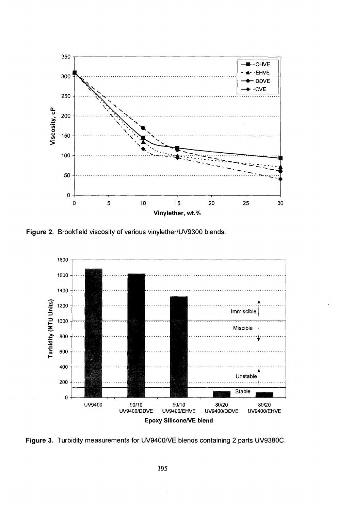

**Figure 2.** Brookfield viscosity of various vinylether/UV9300 blends.



**Figure 3.** Turbidity measurements for UV9400/VE blends containing 2 parts UV9380C.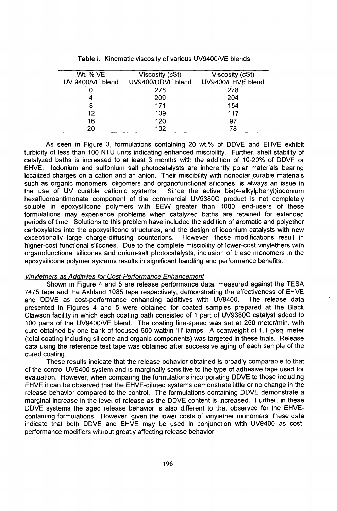| Wt. % VE         | Viscosity (cSt)   | Viscosity (cSt)   |
|------------------|-------------------|-------------------|
| UV 9400/VE blend | UV9400/DDVE blend | UV9400/EHVE blend |
|                  | 278               | 278               |
|                  | 209               | 204               |
| 8                | 171               | 154               |
| 12               | 139               | 117               |
| 16               | 120               | 97                |
| 20               | 102               | 78                |

**Table I.** Kinematic viscosity of various UV9400/VE blends

As seen in Figure 3, formulations containing 20 wt.% of DDVE and EHVE exhibit turbidity of less than 100 NTU units indicating enhanced miscibility. Further, shelf stability of catalyzed baths is increased to at least 3 months with the addition of 10-20% of DDVE or EHVE. lodonium and sulfonium salt photocatalysts are inherently polar materials bearing localized charges on a cation and an anion. Their miscibility with nonpolar curable materials such as organic monomers, oligomers and organofunctional silicones, is always an issue in the use of UV curable cationic systems. Since the active bis(4-alkylphenyl)iodonium hexafluoroantimonate component of the commercial UV9380C product is not completely soluble in epoxysilicone polymers with EEW greater than 1000, end-users of these formulations may experience problems when catalyzed baths are retained for extended periods of time. Solutions to this problem have included the addition of aromatic and polyether carboxylates into the epoxysilicone structures, and the design of iodonium catalysts with new exceptionally large charge-diffusing counterions. higher-cost functional silicones. Due to the complete miscibility of lower-cost vinylethers with organofunctional silicones and onium-salt photocatalysts, inclusion of these monomers in the epoxysilicone polymer systems results in significant handling and performance benefits.

#### Vinylethers as Additives for Cost-Performance Enhancement

Shown in Figure 4 and 5 are release performance data, measured against the TESA 7475 tape and the Ashland 1085 tape respectively, demonstrating the effectiveness of EHVE and DDVE as cost-performance enhancing additives with UV9400. The release data presented in Figures 4 and 5 were obtained for coated samples prepared at the Black Clawson facility in which each coating bath consisted of 1 part of UV9380C catalyst added to 100 parts of the UV9400/VE blend. The coating line-speed was set at 250 meter/min. with cure obtained by one bank of focused 600 watt/in 'H' lamps. A coatweight of 1.1 g/sq. meter (total coating including silicone and organic components) was targeted in these trials. Release data using the reference test tape was obtained after successive aging of each sample of the cured coating.

These results indicate that the release behavior obtained is broadly comparable to that of the control UV9400 system and is marginally sensitive to the type of adhesive tape used for evaluation. However, when comparing the formulations incorporating DDVE to those including EHVE it can be observed that the EHVE-diluted systems demonstrate little or no change in the release behavior compared to the control. The formulations containing DDVE demonstrate a marginal increase in the level of release as the DDVE content is increased. Further, in these DDVE systems the aged release behavior is also different to that observed for the EHVEcontaining formulations. However, given the lower costs of vinylether monomers, these data indicate that both DDVE and EHVE may be used in conjunction with UV9400 as costperformance modifiers without greatly affecting release behavior.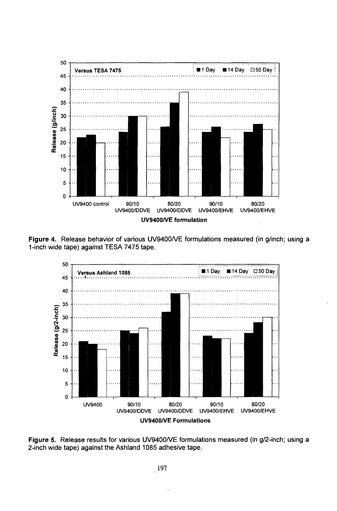

**Figure 4.** Release behavior of various UV9400/VE formulations measured (in g/inch; using a 1-inch wide tape) against TESA 7475 tape.



Figure 5. Release results for various UV9400/VE formulations measured (in g/2-inch; using a 2-inch wide tape) against the Ashland 1085 adhesive tape.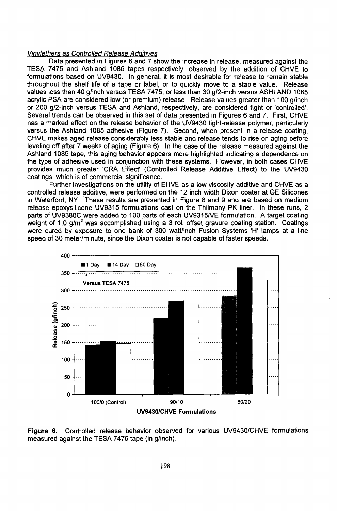# Vinvlethers as Controlled Release Additives

Data presented in Figures 6 and 7 show the increase in release, measured against the TESA 7475 and Ashland 1085 tapes respectively, observed by the addition of CHVE to formulations based on UV9430. In general, it is most desirable for release to remain stable throughout the shelf life of a tape or label, or to quickly move to a stable value. Release values less than 40 g/inch versus TESA 7475, or less than 30 g/2-inch versus ASHLAND 1085 acrylic PSA are considered low (or premium) release. Release values greater than 100 g/inch or 200 g/2-inch versus TESA and Ashland, respectively, are considered tight or 'controlled'. Several trends can be observed in this set of data presented in Figures 6 and 7. First, CHVE has a marked effect on the release behavior of the UV9430 tight-release polymer, particularly versus the Ashland 1085 adhesive (Figure 7). Second, when present in a release coating, CHVE makes aged release considerably less stable and release tends to rise on aging before leveling off after 7 weeks of aging (Figure 6). In the case of the release measured against the Ashland 1085 tape, this aging behavior appears more highlighted indicating a dependence on the type of adhesive used in conjunction with these systems. However, in both cases CHVE provides much greater 'CRA Effect' (Controlled Release Additive Effect) to the UV9430 coatings, which is of commercial significance.

Further investigations on the utility of EHVE as a low viscosity additive and CHVE as a controlled release additive, were performed on the 12 inch width Dixon coater at GE Silicones in Waterford, NY. These results are presented in Figure 8 and 9 and are based on medium release epoxysilicone UV9315 formulations cast on the Thilmany PK liner. In these runs, 2 parts of UV9380C were added to 100 parts of each UV9315/VE formulation. A target coating weight of 1.0 g/m<sup>2</sup> was accomplished using a 3 roll offset gravure coating station. Coatings were cured by exposure to one bank of 300 watt/inch Fusion Systems 'H' lamps at a line speed of 30 meter/minute, since the Dixon coater is not capable of faster speeds.



**Figure 6.** Controlled release behavior observed for various UV9430/CHVE formulations measured against the TESA 7475 tape (in g/inch).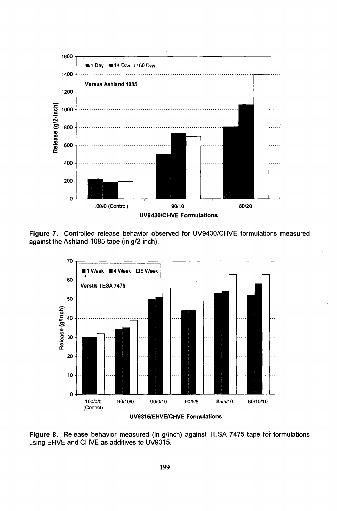

**Figure 7.** Controlled release behavior observed for UV9430/CHVE formulations measured against the Ashland 1085 tape (in g/2-inch).





**Figure 8.** Release behavior measured (in g/inch) against TESA 7475 tape for formulations using EHVE and CHVE as additives to UV9315.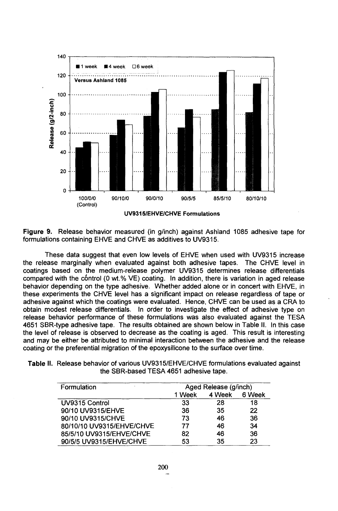

**Figure 9.** Release behavior measured (in g/inch) against Ashland 1085 adhesive tape for formulations containing EHVE and CHVE as additives to UV9315.

These data suggest that even low levels of EHVE when used with UV9315 increase the release marginally when evaluated against both adhesive tapes. The CHVE level in coatings based on the medium-release polymer UV9315 determines release differentials compared with the control (0 wt.% VE) coating. In addition, there is variation in aged release behavior depending on the type adhesive. Whether added alone or in concert with EHVE, in these experiments the CHVE level has a significant impact on release regardless of tape or adhesive against which the coatings were evaluated. Hence, CHVE can be used as a CRA to obtain modest release differentials. In order to investigate the effect of adhesive type on release behavior performance of these formulations was also evaluated against the TESA 4651 SBR-type adhesive tape. The results obtained are shown below in Table II. In this case the level of release is observed to decrease as the coating is aged. This result is interesting and may be either be attributed to minimal interaction between the adhesive and the release coating or the preferential migration of the epoxysilicone to the surface over time.

| Table II. Release behavior of various UV9315/EHVE/CHVE formulations evaluated against |
|---------------------------------------------------------------------------------------|
| the SBR-based TESA 4651 adhesive tape.                                                |

| Formulation<br>$\mathbf{r}$ | Aged Release (g/inch) |        |        |
|-----------------------------|-----------------------|--------|--------|
|                             | 1 Week                | 4 Week | 6 Week |
| UV9315 Control              | 33                    | 28     | 18     |
| 90/10 UV9315/EHVE           | 36                    | 35     | 22     |
| 90/10 UV9315/CHVE           | 73                    | 46     | 36     |
| 80/10/10 UV9315/EHVE/CHVE   | 77                    | 46     | 34     |
| 85/5/10 UV9315/EHVE/CHVE    | 82                    | 46     | 36     |
| 90/5/5 UV9315/EHVE/CHVE     | 53                    | 35     | 23     |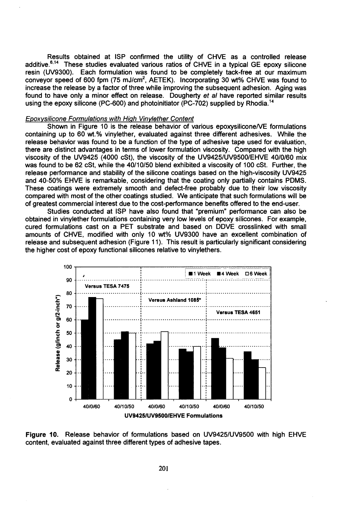Results obtained at ISP confirmed the utility of CHVE as a controlled release additive.<sup>6,14</sup> These studies evaluated various ratios of CHVE in a typical GE epoxy silicone resin (UV9300). Each formulation was found to be completely tack-free at our maximum conveyor speed of 600 fpm (75 mJ/cm<sup>2</sup>, AETEK). Incorporating 30 wt% CHVE was found to increase the release by a factor of three while improving the subsequent adhesion. Aging was found to have only a minor effect on release. Dougherty et al have reported similar results using the epoxy silicone (PC-600) and photoinitiator (PC-702) supplied by Rhodia.<sup>14</sup>

#### Epoxysilicone Formulations with High Vinylether Content

Shown in Figure 10 is the release behavior of various epoxysilicone/VE formulations containing up to 60 wt.% vinylether, evaluated against three different adhesives. While the release behavior was found to be a function of the type of adhesive tape used for evaluation, there are distinct advantages in terms of lower formulation viscosity. Compared with the high viscosity of the UV9425 (4000 cSt), the viscosity of the UV9425/UV9500/EHVE 40/0/60 mix was found to be 62 cSt, while the 40/10/50 blend exhibited a viscosity of 100 cSt. Further, the release performance and stability of the silicone coatings based on the high-viscosity UV9425 and 40-50% EHVE is remarkable, considering that the coating only partially contains PDMS. These coatings were extremely smooth and defect-free probably due to their low viscosity compared with most of the other coatings studied. We anticipate that such formulations will be of greatest commercial interest due to the cost-performance benefits offered to the end-user.

Studies conducted at ISP have also found that "premium" performance can also be obtained in vinylether formulations containing very low levels of epoxy silicones. For example, cured formulations cast on a PET substrate and based on DDVE crosslinked with small amounts of CHVE, modified with only 10 wt% UV9300 have an excellent combination of release and subsequent adhesion (Figure 11). This result is particularly significant considering the higher cost of epoxy functional silicones relative to vinylethers.



Figure 10. Release behavior of formulations based on UV9425/UV9500 with high EHVE content, evaluated against three different types of adhesive tapes.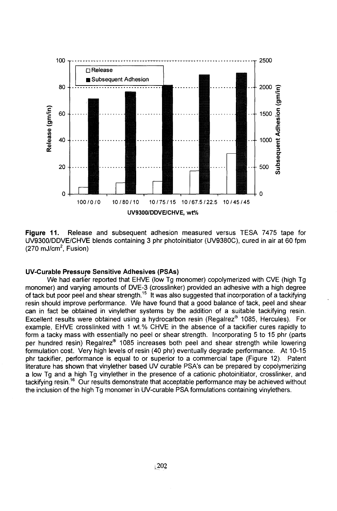

**Figure 11.** Release and subsequent adhesion measured versus TESA 7475 tape for UV9300/DDVE/CHVE blends containing 3 phr photoinitiator (UV9380C), cured in air at 60 fpm  $(270 \text{ mJ/cm}^2, \text{Fusion})$ 

# **UV-Curable Pressure Sensitive Adhesives (PSAs)**

We had earlier reported that EHVE (low Tg monomer) copolymerized with CVE (high Tg monomer) and varying amounts of DVE-3 (crosslinker) provided an adhesive with a high degree of tack but poor peel and shear strength.<sup>15</sup> It was also suggested that incorporation of a tackifying resin should improve performance. We have found that a good balance of tack, peel and shear can in fact be obtained in vinylether systems by the addition of a suitable tackifying resin. Excellent results were obtained using a hydrocarbon resin (Regalrez® 1085, Hercules). For example, EHVE crosslinked with 1 wt.% CHVE in the absence of a tackifier cures rapidly to form a tacky mass with essentially no peel or shear strength. Incorporating 5 to 15 phr (parts per hundred resin) Regalrez® 1085 increases both peel and shear strength while lowering formulation cost. Very high levels of resin (40 phr) eventually degrade performance. At 10-15 phr tackifier, performance is equal to or superior to a commercial tape (Figure 12). Patent literature has shown that vinylether based UV curable PSA's can be prepared by copolymerizing a low Tg and a high Tg vinylether in the presence of a cationic photoinitiator, crosslinker, and tackifying resin.<sup>16</sup> Our results demonstrate that acceptable performance may be achieved without the inclusion of the high Tg monomer in UV-curable PSA formulations containing vinylethers.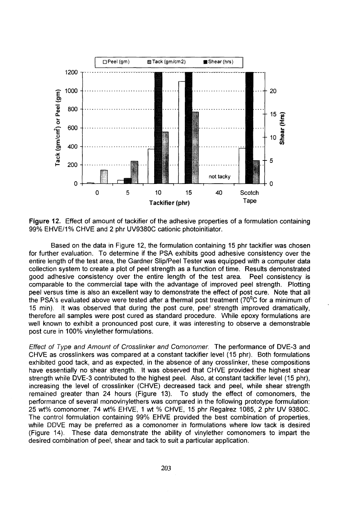

Figure 12. Effect of amount of tackifier of the adhesive properties of a formulation containing 99% EHVE/1% CHVE and 2 phr UV9380C cationic photoinitiator.

Based on the data in Figure 12, the formulation containing 15 phr tackifier was chosen for further evaluation. To determine if the PSA exhibits good adhesive consistency over the entire length of the test area, the Gardner Slip/Peel Tester was equipped with a computer data collection system to create a plot of peel strength as a function of time. Results demonstrated good adhesive consistency over the entire length of the test area. Peel consistency is comparable to the commercial tape with the advantage of improved peel strength. Plotting peel versus time is also an excellent way to demonstrate the effect of post cure. Note that all the PSA's evaluated above were tested after a thermal post treatment ( $70^{\circ}$ C for a minimum of 15 min). It was observed that during the post cure, pee! strength improved dramatically, therefore all samples were post cured as standard procedure. While epoxy formulations are well known to exhibit a pronounced post cure, it was interesting to observe a demonstrable post cure in 100% vinylether formulations.

Effect of Type and Amount of Crosslinker and Comonomer. The performance of DVE-3 and CHVE as crosslinkers was compared at a constant tackifier level (15 phr). Both formulations exhibited good tack, and as expected, in the absence of any crosslinker, these compositions have essentially no shear strength. It was observed that CHVE provided the highest shear strength while DVE-3 contributed to the highest peel. Also, at constant tackifier level (15 phr), increasing the level of crosslinker (CHVE) decreased tack and peel, while shear strength remained greater than 24 hours (Figure 13). To study the effect of comonomers, the performance of several monovinylethers was compared in the following prototype formulation: 25 wt% comonomer, 74 wt% EHVE, 1 wt % CHVE, 15 phr Regalrez 1085, 2 phr UV 9380C. The control formulation containing 99% EHVE provided the best combination of properties, while DDVE may be preferred as a comonomer in formulations where low tack is desired (Figure 14). These data demonstrate the ability of vinylether comonomers to impart the desired combination of peel, shear and tack to suit a particular application.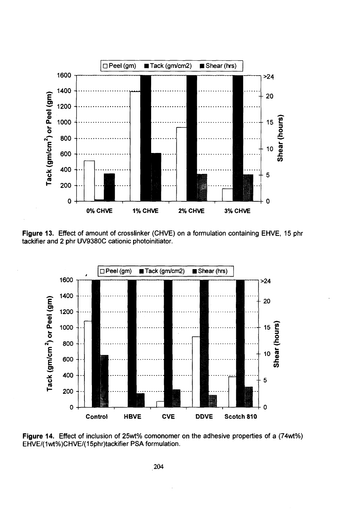

**Figure 13.** Effect of amount of crosslinker (CHVE) on a formulation containing EHVE, 15 phr tackifier and 2 phr UV9380C cationic photoinitiator.



**Figure 14.** Effect of inclusion of 25wt% comonomer on the adhesive properties of a (74wt%) EHVE/(1wt%)CHVE/(15phr)tackifier PSA formulation.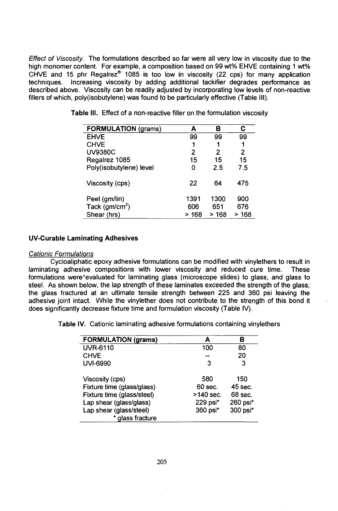Effect of Viscosity. The formulations described so far were all very low in viscosity due to the high monomer content. For example, a composition based on 99 wt% EHVE containing 1 wt% CHVE and 15 phr Regalrez® 1085 is too low in viscosity (22 cps) for many application techniques. Increasing viscosity by adding additional tackifier degrades performance as described above. Viscosity can be readily adjusted by incorporating low levels of non-reactive fillers of which, poly(isobutylene) was found to be particularly effective (Table III).

| <b>FORMULATION (grams)</b> | А     | в     | С        |
|----------------------------|-------|-------|----------|
| <b>EHVE</b>                | 99    | 99    | 99       |
| <b>CHVE</b>                | 1     |       | 1        |
| <b>UV9380C</b>             | 2     | 2     | 2        |
| Regalrez 1085              | 15    | 15    | 15       |
| Poly(isobutylene) level    | 0     | 2.5   | 7.5      |
| Viscosity (cps)            | 22    | 64    | 475      |
| Peel (gm/lin)              | 1391  | 1300  | 900      |
| Tack ( $gm/cm2$ )          | 606   | 651   | 676      |
| Shear (hrs)                | > 168 | > 168 | 168<br>> |

**Table III.** Effect of a non-reactive filler on the formulation viscosity

#### **UV-Curable Laminating Adhesives**

#### Cationic Formulations

Cycloaliphatic epoxy adhesive formulations can be modified with vinylethers to result in laminating adhesive compositions with lower viscosity and reduced cure time. These formulations were'evaluated for laminating glass (microscope slides) to glass, and glass to steel. As shown below, the lap strength of these laminates exceeded the strength of the glass; the glass fractured at an ultimate tensile strength between 225 and 360 psi leaving the adhesive joint intact. While the vinylether does not contribute to the strength of this bond it does significantly decrease fixture time and formulation viscosity (Table IV).

**Table IV.** Cationic laminating adhesive formulations containing vinylethers

| <b>FORMULATION (grams)</b> | А         | В        |
|----------------------------|-----------|----------|
| <b>UVR-6110</b>            | 100       | 80       |
| <b>CHVE</b>                |           | 20       |
| <b>UVI-6990</b>            | З         | 3        |
| Viscosity (cps)            | 580       | 150      |
| Fixture time (glass/glass) | 60 sec.   | 45 sec.  |
| Fixture time (glass/steel) | >140 sec. | 68 sec.  |
| Lap shear (glass/glass)    | 229 psi*  | 260 psi* |
| Lap shear (glass/steel)    | 360 psi*  | 300 psi* |
| * glass fracture           |           |          |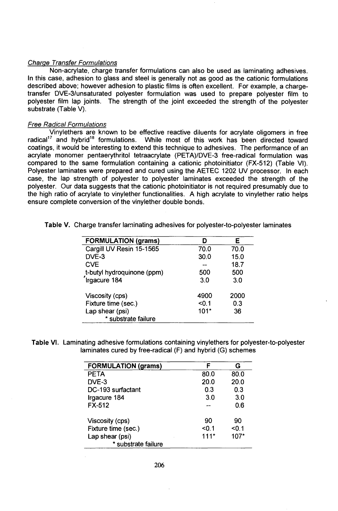### Charge Transfer Formulations

Non-acrylate, charge transfer formulations can also be used as laminating adhesives. In this case, adhesion to glass and steel is generally not as good as the cationic formulations described above; however adhesion to plastic films is often excellent. For example, a chargetransfer DVE-3/unsaturated polyester formulation was used to prepare polyester film to polyester film lap joints. The strength of the joint exceeded the strength of the polyester substrate (Table V).

#### **Free Radical Formulations**

Vinylethers are known to be effective reactive diluents for acrylate oligomers in free radical<sup>17</sup> and hybrid<sup>18</sup> formulations. While most of this work has been directed toward coatings, it would be interesting to extend this technique to adhesives. The performance of an acrylate monomer pentaerythritol tetraacrylate (PETA)/DVE-3 free-radical formulation was compared to the same formulation containing a cationic photoinitiator (FX-512) (Table VI). Polyester laminates were prepared and cured using the AETEC 1202 UV processor. In each case, the lap strength of polyester to polyester laminates exceeded the strength of the polyester. Our data suggests that the cationic photoinitiator is not required presumably due to the high ratio of acrylate to vinylether functionalities. A high acrylate to vinylether ratio helps ensure complete conversion of the vinylether double bonds.

| <b>FORMULATION (grams)</b> | D      | Е    |
|----------------------------|--------|------|
| Cargill UV Resin 15-1565   | 70.0   | 70.0 |
| DVE-3                      | 30.0   | 15.0 |
| <b>CVE</b>                 |        | 18.7 |
| t-butyl hydroquinone (ppm) | 500    | 500  |
| Irgacure 184               | 3.0    | 3.0  |
| Viscosity (cps)            | 4900   | 2000 |
| Fixture time (sec.)        | < 0.1  | 0.3  |
| Lap shear (psi)            | $101*$ | 36   |
| * substrate failure        |        |      |

**Table V.** Charge transfer laminating adhesives for polyester-to-polyester laminates

**Table VI.** Laminating adhesive formulations containing vinylethers for polyester-to-polyester laminates cured by free-radical (F) and hybrid (G) schemes

| <b>FORMULATION (grams)</b>             | F      | G     |
|----------------------------------------|--------|-------|
| <b>PETA</b>                            | 80.0   | 80.0  |
| DVE-3                                  | 20.0   | 20.0  |
| DC-193 surfactant                      | 0.3    | 0.3   |
| Irgacure 184                           | 3.0    | 3.0   |
| $FX-512$                               |        | 0.6   |
| Viscosity (cps)                        | 90     | 90    |
| Fixture time (sec.)                    | < 0.1  | < 0.1 |
| Lap shear (psi)<br>* substrate failure | $111*$ | 107*  |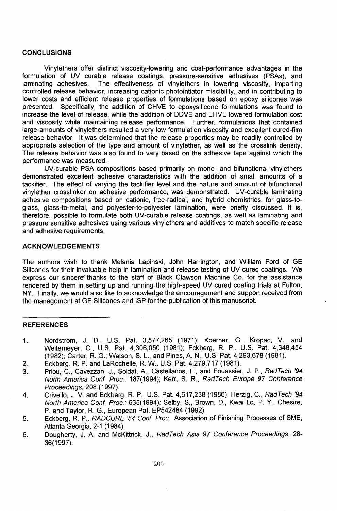#### **CONCLUSIONS**

Vinylethers offer distinct viscosity-lowering and cost-performance advantages in the formulation of UV curable release coatings, pressure-sensitive adhesives (PSAs), and laminating adhesives. The effectiveness of vinylethers in lowering viscosity, imparting controlled release behavior, increasing cationic photointiator miscibility, and in contributing to lower costs and efficient release properties of formulations based on epoxy silicones was presented. Specifically, the addition of CHVE to epoxysilicone formulations was found to increase the level of release, while the addition of DDVE and EHVE lowered formulation cost and viscosity while maintaining release performance. Further, formulations that contained large amounts of vinylethers resulted a very low formulation viscosity and excellent cured-film release behavior. It was determined that the release properties may be readily controlled by appropriate selection of the type and amount of vinylether, as well as the crosslink density. The release behavior was also found to vary based on the adhesive tape against which the performance was measured.

UV-curable PSA compositions based primarily on mono- and bifunctional vinylethers demonstrated excellent adhesive characteristics with the addition of small amounts of a tackifier. The effect of varying the tackifier level and the nature and amount of bifunctional vinylether crosslinker on adhesive performance, was demonstrated. UV-curable laminating adhesive compositions based on cationic, free-radical, and hybrid chemistries, for glass-toglass, glass-to-metal, and polyester-to-polyester lamination, were briefly discussed. It is, therefore, possible to formulate both UV-curable release coatings, as well as laminating and pressure sensitive adhesives using various vinylethers and additives to match specific release and adhesive requirements.

#### **ACKNOWLEDGEMENTS**

The authors wish to thank Melania Lapinski, John Harrington, and William Ford of GE Silicones for their invaluable help in lamination and release testing of UV cured coatings. We express our sincere thanks to the staff of Black Clawson Machine Co. for the assistance rendered by them in setting up and running the high-speed UV cured coating trials at Fulton, NY. Finally, we would also like to acknowledge the encouragement and support received from the management at GE Silicones and ISP for the publication of this manuscript.

### **REFERENCES**

- 1. Nordstrom, J. D., U.S. Pat. 3,577,265 (1971); Koerner, G., Kropac, V., and Weitemeyer, C, U.S. Pat. 4,306,050 (1981); Eckberg, R. P., U.S. Pat. 4,348,454 (1982); Carter, R. G.; Watson, S. L, and Pines, A. N., U.S. Pat. 4,293,678 (1981).
- 2. Eckberg, R. P. and LaRochelle, R. W., U.S. Pat. 4,279,717 (1981).
- 3. Priou, C, Cavezzan, J., Soldat, A., Castellanos, F., and Fouassier, J. P., RadTech '94 North America Conf. Proc.: 187(1994); Kerr, S. R., RadTech Europe 97 Conference Proceedings, 208 (1997).
- 4. Crivello, J. V. and Eckberg, R. P., U.S. Pat. 4,617,238 (1986); Herzig, C, RadTech '94 North America Conf. Proc.: 635(1994); Selby, S., Brown, D., Kwai Lo, P. Y., Chesire, P. and Taylor, R. G., European Pat. EP542484 (1992).
- 5. Eckberg, R. P., RADCURE '84 Conf. Proc., Association of Finishing Processes of SME, Atlanta Georgia, 2-1 (1984).
- 6. Dougherty, J. A. and McKittrick, J., RadTech Asia 97 Conference Proceedings, 28- 36(1997).